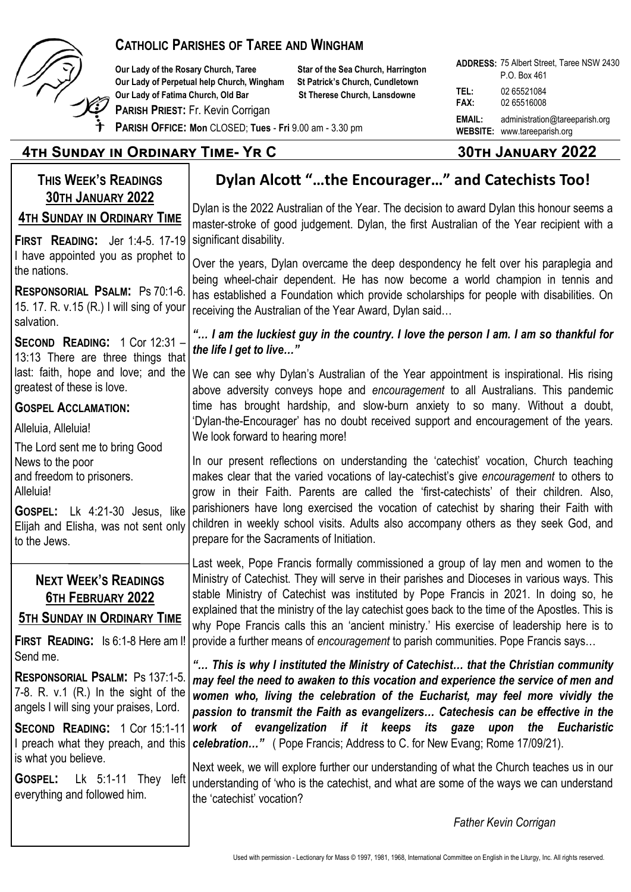

#### **CATHOLIC PARISHES OF TAREE AND WINGHAM**

**Our Lady of the Rosary Church, Taree Star of the Sea Church, Harrington Our Lady of Perpetual help Church, Wingham St Patrick's Church, Cundletown Our Lady of Fatima Church, Old Bar St Therese Church, Lansdowne** 

**PARISH PRIEST:** Fr. Kevin Corrigan

**ADDRESS:**  75 Albert Street, Taree NSW 2430 **TEL:** 02 65521084 **FAX:** 02 65516008 **EMAIL:** administration@tareeparish.org **WEBSITE:** www.tareeparish.org P.O. Box 461

**PARISH OFFICE: Mon** CLOSED; **Tues** - **Fri** 9.00 am - 3.30 pm

## **4th Sunday in Ordinary Time- Yr C 30th January 2022**

### **THIS WEEK'S READINGS 30TH JANUARY 2022 4TH SUNDAY IN ORDINARY TIME**

**FIRST READING:** Jer 1:4-5. 17-19 I have appointed you as prophet to the nations.

**RESPONSORIAL PSALM:** Ps 70:1-6. 15. 17. R. v.15 (R.) I will sing of your salvation.

**SECOND READING:** 1 Cor 12:31 – 13:13 There are three things that last: faith, hope and love; and the greatest of these is love.

**GOSPEL ACCLAMATION:**

Alleluia, Alleluia!

The Lord sent me to bring Good News to the poor and freedom to prisoners. Alleluia!

**GOSPEL:** Lk 4:21-30 Jesus, like Elijah and Elisha, was not sent only to the Jews.

## **NEXT WEEK'S READINGS 6TH FEBRUARY 2022**

**5TH SUNDAY IN ORDINARY TIME**

**FIRST READING:** Is 6:1-8 Here am I! Send me.

**RESPONSORIAL PSALM:** Ps 137:1-5. 7-8. R. v.1 (R.) In the sight of the angels I will sing your praises, Lord.

**SECOND READING:** 1 Cor 15:1-11 I preach what they preach, and this is what you believe.

**GOSPEL:** Lk 5:1-11 They left everything and followed him.

# **Dylan Alcott "…the Encourager…" and Catechists Too!**

Dylan is the 2022 Australian of the Year. The decision to award Dylan this honour seems a master-stroke of good judgement. Dylan, the first Australian of the Year recipient with a significant disability.

Over the years, Dylan overcame the deep despondency he felt over his paraplegia and being wheel-chair dependent. He has now become a world champion in tennis and has established a Foundation which provide scholarships for people with disabilities. On receiving the Australian of the Year Award, Dylan said…

*"… I am the luckiest guy in the country. I love the person I am. I am so thankful for the life I get to live…"*

We can see why Dylan's Australian of the Year appointment is inspirational. His rising above adversity conveys hope and *encouragement* to all Australians. This pandemic time has brought hardship, and slow-burn anxiety to so many. Without a doubt, 'Dylan-the-Encourager' has no doubt received support and encouragement of the years. We look forward to hearing more!

In our present reflections on understanding the 'catechist' vocation, Church teaching makes clear that the varied vocations of lay-catechist's give *encouragement* to others to grow in their Faith. Parents are called the 'first-catechists' of their children. Also, parishioners have long exercised the vocation of catechist by sharing their Faith with children in weekly school visits. Adults also accompany others as they seek God, and prepare for the Sacraments of Initiation.

Last week, Pope Francis formally commissioned a group of lay men and women to the Ministry of Catechist. They will serve in their parishes and Dioceses in various ways. This stable Ministry of Catechist was instituted by Pope Francis in 2021. In doing so, he explained that the ministry of the lay catechist goes back to the time of the Apostles. This is why Pope Francis calls this an 'ancient ministry.' His exercise of leadership here is to provide a further means of *encouragement* to parish communities. Pope Francis says…

*"… This is why I instituted the Ministry of Catechist… that the Christian community may feel the need to awaken to this vocation and experience the service of men and women who, living the celebration of the Eucharist, may feel more vividly the passion to transmit the Faith as evangelizers… Catechesis can be effective in the work of evangelization if it keeps its gaze upon the Eucharistic celebration…"* ( Pope Francis; Address to C. for New Evang; Rome 17/09/21).

Next week, we will explore further our understanding of what the Church teaches us in our understanding of 'who is the catechist, and what are some of the ways we can understand the 'catechist' vocation?

*Father Kevin Corrigan*